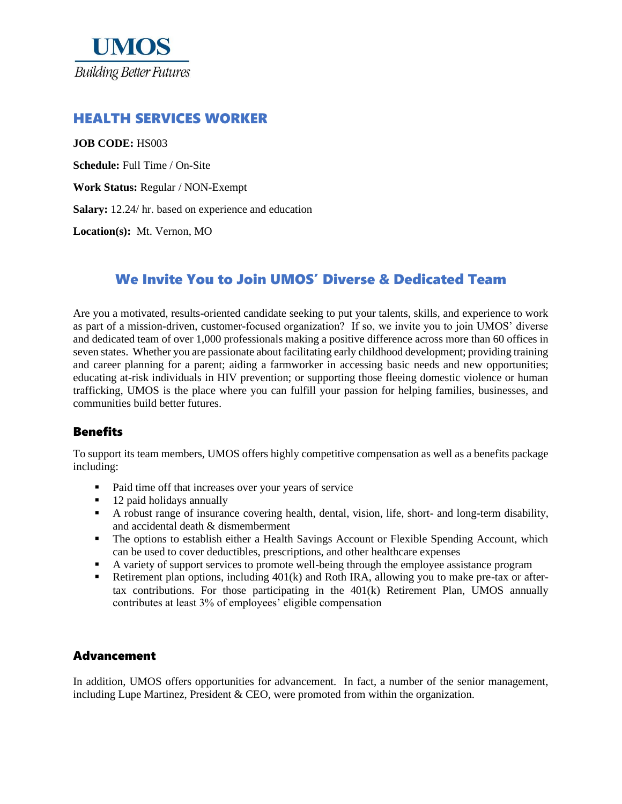

## HEALTH SERVICES WORKER

#### **JOB CODE:** HS003

**Schedule:** Full Time / On-Site

**Work Status:** Regular / NON-Exempt

**Salary:** 12.24/ hr. based on experience and education

**Location(s):** Mt. Vernon, MO

# We Invite You to Join UMOS' Diverse & Dedicated Team

Are you a motivated, results-oriented candidate seeking to put your talents, skills, and experience to work as part of a mission-driven, customer-focused organization? If so, we invite you to join UMOS' diverse and dedicated team of over 1,000 professionals making a positive difference across more than 60 offices in seven states. Whether you are passionate about facilitating early childhood development; providing training and career planning for a parent; aiding a farmworker in accessing basic needs and new opportunities; educating at-risk individuals in HIV prevention; or supporting those fleeing domestic violence or human trafficking, UMOS is the place where you can fulfill your passion for helping families, businesses, and communities build better futures.

### **Benefits**

To support its team members, UMOS offers highly competitive compensation as well as a benefits package including:

- Paid time off that increases over your years of service
- 12 paid holidays annually
- A robust range of insurance covering health, dental, vision, life, short- and long-term disability, and accidental death & dismemberment
- **•** The options to establish either a Health Savings Account or Flexible Spending Account, which can be used to cover deductibles, prescriptions, and other healthcare expenses
- A variety of support services to promote well-being through the employee assistance program
- **•** Retirement plan options, including 401(k) and Roth IRA, allowing you to make pre-tax or aftertax contributions. For those participating in the 401(k) Retirement Plan, UMOS annually contributes at least 3% of employees' eligible compensation

### Advancement

In addition, UMOS offers opportunities for advancement. In fact, a number of the senior management, including Lupe Martinez, President  $&$  CEO, were promoted from within the organization.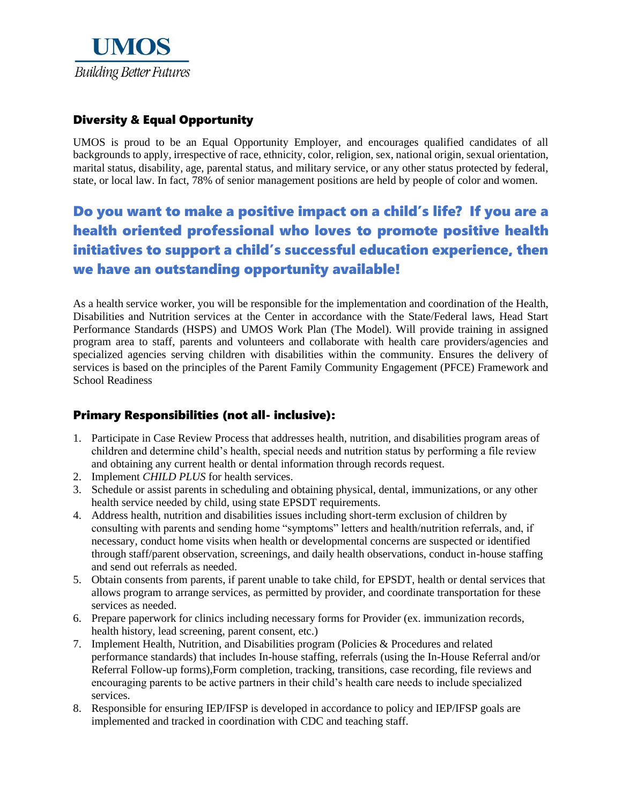

# Diversity & Equal Opportunity

UMOS is proud to be an Equal Opportunity Employer, and encourages qualified candidates of all backgrounds to apply, irrespective of race, ethnicity, color, religion, sex, national origin, sexual orientation, marital status, disability, age, parental status, and military service, or any other status protected by federal, state, or local law. In fact, 78% of senior management positions are held by people of color and women.

# Do you want to make a positive impact on a child's life? If you are a health oriented professional who loves to promote positive health initiatives to support a child's successful education experience, then we have an outstanding opportunity available!

As a health service worker, you will be responsible for the implementation and coordination of the Health, Disabilities and Nutrition services at the Center in accordance with the State/Federal laws, Head Start Performance Standards (HSPS) and UMOS Work Plan (The Model). Will provide training in assigned program area to staff, parents and volunteers and collaborate with health care providers/agencies and specialized agencies serving children with disabilities within the community. Ensures the delivery of services is based on the principles of the Parent Family Community Engagement (PFCE) Framework and School Readiness

### Primary Responsibilities (not all- inclusive):

- 1. Participate in Case Review Process that addresses health, nutrition, and disabilities program areas of children and determine child's health, special needs and nutrition status by performing a file review and obtaining any current health or dental information through records request.
- 2. Implement *CHILD PLUS* for health services.
- 3. Schedule or assist parents in scheduling and obtaining physical, dental, immunizations, or any other health service needed by child, using state EPSDT requirements.
- 4. Address health, nutrition and disabilities issues including short-term exclusion of children by consulting with parents and sending home "symptoms" letters and health/nutrition referrals, and, if necessary, conduct home visits when health or developmental concerns are suspected or identified through staff/parent observation, screenings, and daily health observations, conduct in-house staffing and send out referrals as needed.
- 5. Obtain consents from parents, if parent unable to take child, for EPSDT, health or dental services that allows program to arrange services, as permitted by provider, and coordinate transportation for these services as needed.
- 6. Prepare paperwork for clinics including necessary forms for Provider (ex. immunization records, health history, lead screening, parent consent, etc.)
- 7. Implement Health, Nutrition, and Disabilities program (Policies & Procedures and related performance standards) that includes In-house staffing, referrals (using the In-House Referral and/or Referral Follow-up forms),Form completion, tracking, transitions, case recording, file reviews and encouraging parents to be active partners in their child's health care needs to include specialized services.
- 8. Responsible for ensuring IEP/IFSP is developed in accordance to policy and IEP/IFSP goals are implemented and tracked in coordination with CDC and teaching staff.